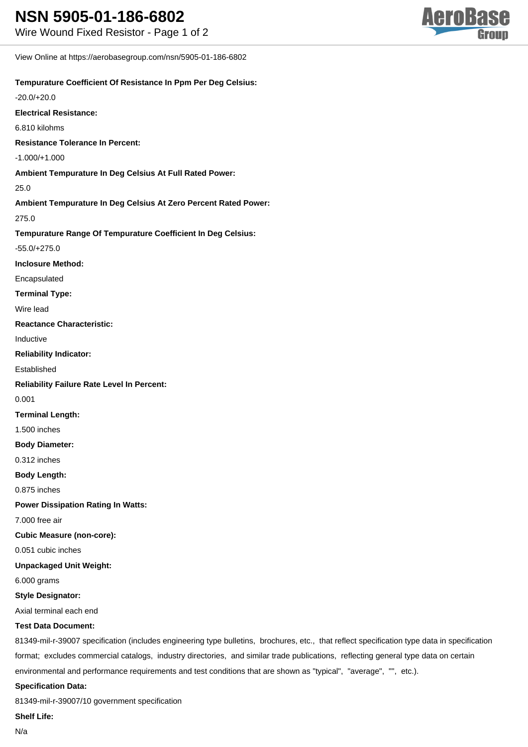View Online at https://aerobasegroup.com/nsn/5905-01-186-6802

## **Tempurature Coefficient Of Resistance In Ppm Per Deg Celsius:**

-20.0/+20.0

**Electrical Resistance:**

6.810 kilohms

**Resistance Tolerance In Percent:**

-1.000/+1.000

**Ambient Tempurature In Deg Celsius At Full Rated Power:**

#### 25.0

**Ambient Tempurature In Deg Celsius At Zero Percent Rated Power:**

## 275.0

**Tempurature Range Of Tempurature Coefficient In Deg Celsius:**

-55.0/+275.0

**Inclosure Method:**

Encapsulated

**Terminal Type:**

Wire lead

**Reactance Characteristic:**

Inductive

#### **Reliability Indicator:**

Established

**Reliability Failure Rate Level In Percent:**

0.001

## **Terminal Length:**

1.500 inches

#### **Body Diameter:**

0.312 inches

## **Body Length:**

0.875 inches

**Power Dissipation Rating In Watts:**

7.000 free air

**Cubic Measure (non-core):**

0.051 cubic inches

**Unpackaged Unit Weight:**

6.000 grams

#### **Style Designator:**

Axial terminal each end

## **Test Data Document:**

81349-mil-r-39007 specification (includes engineering type bulletins, brochures, etc., that reflect specification type data in specification format; excludes commercial catalogs, industry directories, and similar trade publications, reflecting general type data on certain environmental and performance requirements and test conditions that are shown as "typical", "average", "", etc.).

#### **Specification Data:**

81349-mil-r-39007/10 government specification

**Shelf Life:**

N/a